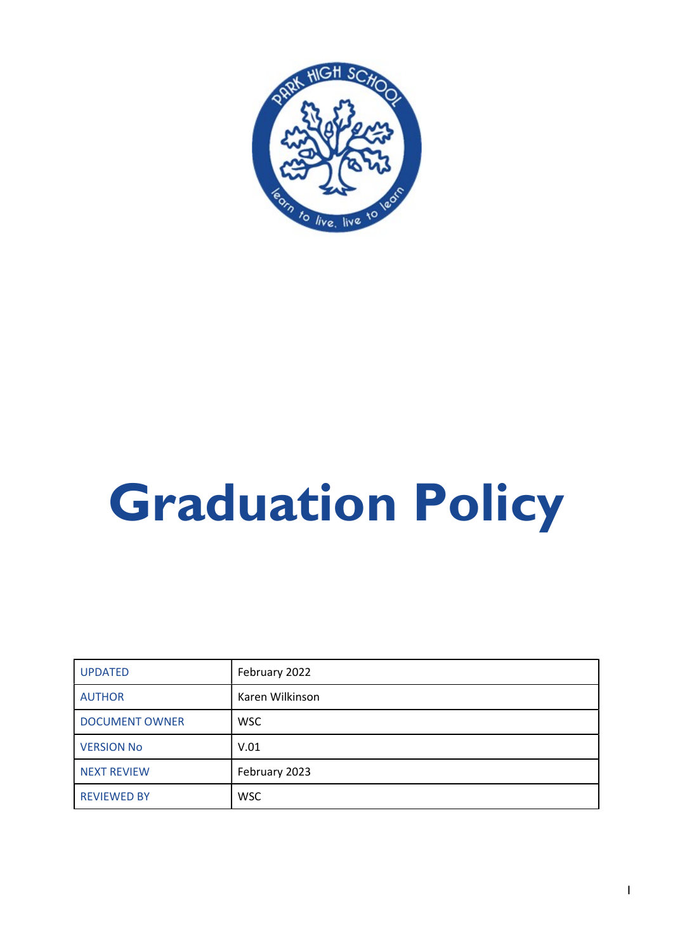

## Graduation Policy

| <b>UPDATED</b>        | February 2022   |
|-----------------------|-----------------|
| <b>AUTHOR</b>         | Karen Wilkinson |
| <b>DOCUMENT OWNER</b> | <b>WSC</b>      |
| <b>VERSION No</b>     | V.01            |
| <b>NEXT REVIEW</b>    | February 2023   |
| <b>REVIEWED BY</b>    | <b>WSC</b>      |